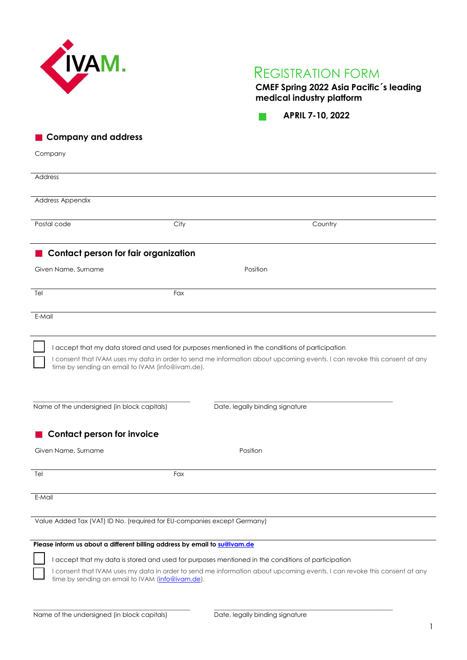

**CMEF Spring 2022 Asia Pacific´s leading medical industry platform**

**APRIL 7-10, 2022**  $\mathcal{O}(\mathbb{R}^d)$ 

**Company and address**

Company

| Address                                                                                                                                                                                                                                                                         |                                 |         |  |  |
|---------------------------------------------------------------------------------------------------------------------------------------------------------------------------------------------------------------------------------------------------------------------------------|---------------------------------|---------|--|--|
| Address Appendix                                                                                                                                                                                                                                                                |                                 |         |  |  |
|                                                                                                                                                                                                                                                                                 |                                 |         |  |  |
| Postal code                                                                                                                                                                                                                                                                     | City                            | Country |  |  |
| Contact person for fair organization                                                                                                                                                                                                                                            |                                 |         |  |  |
| Given Name, Surname                                                                                                                                                                                                                                                             | Position                        |         |  |  |
| Tel                                                                                                                                                                                                                                                                             | Fax                             |         |  |  |
| E-Mail                                                                                                                                                                                                                                                                          |                                 |         |  |  |
| I accept that my data stored and used for purposes mentioned in the conditions of participation<br>I consent that IVAM uses my data in order to send me information about upcoming events. I can revoke this consent at any<br>time by sending an email to IVAM (info@ivam.de). |                                 |         |  |  |
| Name of the undersigned (in block capitals)                                                                                                                                                                                                                                     | Date, legally binding signature |         |  |  |
| <b>Contact person for invoice</b>                                                                                                                                                                                                                                               |                                 |         |  |  |
| Given Name, Surname                                                                                                                                                                                                                                                             | Position                        |         |  |  |
| Tel                                                                                                                                                                                                                                                                             | Fax                             |         |  |  |
| E-Mail                                                                                                                                                                                                                                                                          |                                 |         |  |  |
| Value Added Tax (VAT) ID No. (required for EU-companies except Germany)                                                                                                                                                                                                         |                                 |         |  |  |
| Please inform us about a different billing address by email to su@ivam.de                                                                                                                                                                                                       |                                 |         |  |  |
| I accept that my data is stored and used for purposes mentioned in the conditions of participation                                                                                                                                                                              |                                 |         |  |  |
| I consent that IVAM uses my data in order to send me information about upcoming events. I can revoke this consent at any<br>time by sending an email to IVAM (info@ivam.de).                                                                                                    |                                 |         |  |  |

\_\_\_\_\_\_\_\_\_\_\_\_\_\_\_\_\_\_\_\_\_\_\_\_\_\_\_\_\_\_\_\_\_\_\_\_\_\_\_\_\_\_\_\_\_\_\_\_\_\_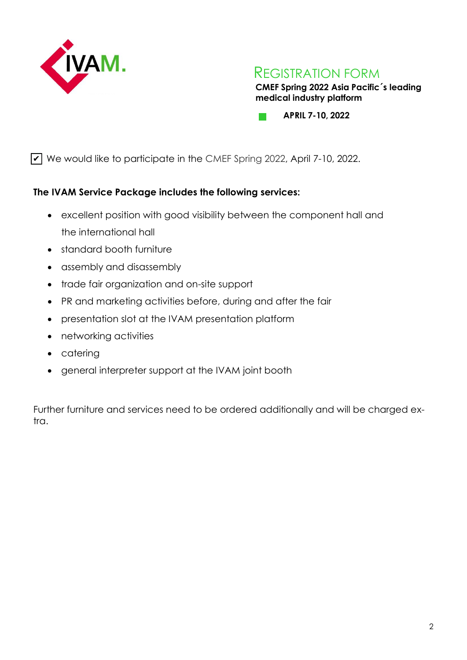

**CMEF Spring 2022 Asia Pacific´s leading medical industry platform**

**APRIL 7-10, 2022 COL** 

 $\vee$  We would like to participate in the CMEF Spring 2022, April 7-10, 2022.

# **The IVAM Service Package includes the following services:**

- excellent position with good visibility between the component hall and the international hall
- standard booth furniture
- assembly and disassembly
- trade fair organization and on-site support
- PR and marketing activities before, during and after the fair
- presentation slot at the IVAM presentation platform
- networking activities
- catering
- general interpreter support at the IVAM joint booth

Further furniture and services need to be ordered additionally and will be charged extra.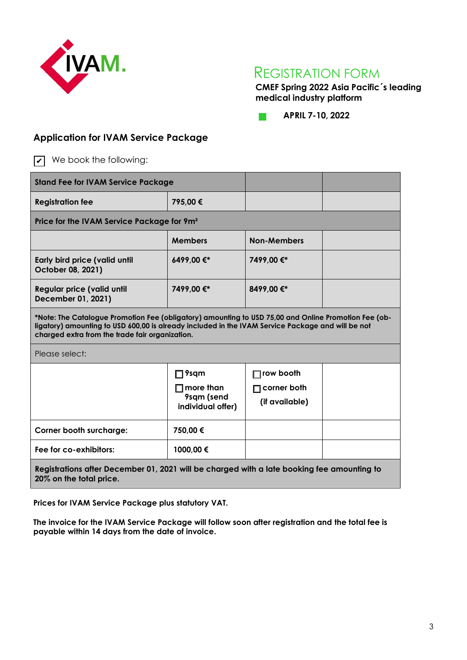

**CMEF Spring 2022 Asia Pacific´s leading medical industry platform** 

**APRIL 7-10, 2022**  $\mathcal{O}(\mathbb{R}^d)$ 

# **Application for IVAM Service Package**

 $\triangledown$  We book the following:

| <b>Stand Fee for IVAM Service Package</b>                                                                                                                                                                                                                    |                                                                       |                                            |  |  |
|--------------------------------------------------------------------------------------------------------------------------------------------------------------------------------------------------------------------------------------------------------------|-----------------------------------------------------------------------|--------------------------------------------|--|--|
| <b>Registration fee</b>                                                                                                                                                                                                                                      | 795,00€                                                               |                                            |  |  |
| Price for the IVAM Service Package for 9m <sup>2</sup>                                                                                                                                                                                                       |                                                                       |                                            |  |  |
|                                                                                                                                                                                                                                                              | <b>Members</b>                                                        | <b>Non-Members</b>                         |  |  |
| Early bird price (valid until<br>October 08, 2021)                                                                                                                                                                                                           | 6499,00€*                                                             | 7499,00 €*                                 |  |  |
| <b>Regular price (valid until</b><br>December 01, 2021)                                                                                                                                                                                                      | 7499,00 €*                                                            | 8499,00 €*                                 |  |  |
| *Note: The Catalogue Promotion Fee (obligatory) amounting to USD 75,00 and Online Promotion Fee (ob-<br>ligatory) amounting to USD 600,00 is already included in the IVAM Service Package and will be not<br>charged extra from the trade fair organization. |                                                                       |                                            |  |  |
| Please select:                                                                                                                                                                                                                                               |                                                                       |                                            |  |  |
|                                                                                                                                                                                                                                                              | $\Box$ 9sqm<br>$\square$ more than<br>9sqm (send<br>individual offer) | row booth<br>corner both<br>(if available) |  |  |
| <b>Corner booth surcharge:</b>                                                                                                                                                                                                                               | 750,00 €                                                              |                                            |  |  |
| Fee for co-exhibitors:                                                                                                                                                                                                                                       | 1000,00 €                                                             |                                            |  |  |
| Registrations after December 01, 2021 will be charged with a late booking fee amounting to<br>20% on the total price.                                                                                                                                        |                                                                       |                                            |  |  |

**Prices for IVAM Service Package plus statutory VAT.**

**The invoice for the IVAM Service Package will follow soon after registration and the total fee is payable within 14 days from the date of invoice.**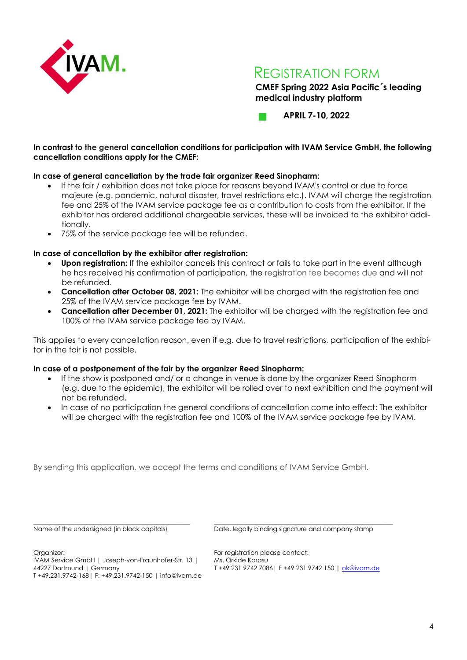

**CMEF Spring 2022 Asia Pacific´s leading medical industry platform**

**APRIL 7-10, 2022**

# **In contrast to the general cancellation conditions for participation with IVAM Service GmbH, the following cancellation conditions apply for the CMEF:**

# **In case of general cancellation by the trade fair organizer Reed Sinopharm:**

- If the fair / exhibition does not take place for reasons beyond IVAM's control or due to force majeure (e.g. pandemic, natural disaster, travel restrictions etc.). IVAM will charge the registration fee and 25% of the IVAM service package fee as a contribution to costs from the exhibitor. If the exhibitor has ordered additional chargeable services, these will be invoiced to the exhibitor additionally.
- 75% of the service package fee will be refunded.

# **In case of cancellation by the exhibitor after registration:**

- **Upon registration:** If the exhibitor cancels this contract or fails to take part in the event although he has received his confirmation of participation, the registration fee becomes due and will not be refunded.
- **Cancellation after October 08, 2021:** The exhibitor will be charged with the registration fee and 25% of the IVAM service package fee by IVAM.
- **Cancellation after December 01, 2021:** The exhibitor will be charged with the registration fee and 100% of the IVAM service package fee by IVAM.

This applies to every cancellation reason, even if e.g. due to travel restrictions, participation of the exhibitor in the fair is not possible.

# **In case of a postponement of the fair by the organizer Reed Sinopharm:**

- If the show is postponed and/ or a change in venue is done by the organizer Reed Sinopharm (e.g. due to the epidemic), the exhibitor will be rolled over to next exhibition and the payment will not be refunded.
- In case of no participation the general conditions of cancellation come into effect: The exhibitor will be charged with the registration fee and 100% of the IVAM service package fee by IVAM.

By sending this application, we accept the terms and conditions of IVAM Service GmbH.

Name of the undersigned (in block capitals)

Date, legally binding signature and company stamp

\_\_\_\_\_\_\_\_\_\_\_\_\_\_\_\_\_\_\_\_\_\_\_\_\_\_\_\_\_\_\_\_\_\_\_\_\_\_\_\_\_\_\_\_\_\_\_\_\_\_\_\_\_\_\_\_\_

Organizer:

\_\_\_\_\_\_\_\_\_\_\_\_\_\_\_\_\_\_\_\_\_\_\_\_\_\_\_\_\_\_\_\_\_\_\_\_\_\_\_\_\_\_\_\_\_\_\_\_\_\_

For registration please contact: Ms. Orkide Karasu T +49 231 9742 7086| F +49 231 9742 150 | [ok@ivam.de](mailto:ok@ivam.de)

IVAM Service GmbH | Joseph-von-Fraunhofer-Str. 13 | 44227 Dortmund | Germany

T +49.231.9742-168| F: +49.231.9742-150 | info@ivam.de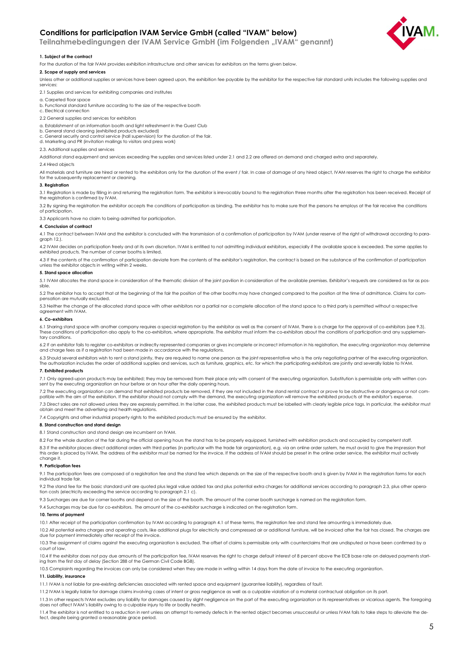# **Conditions for participation IVAM Service GmbH (called "IVAM" below)**

 **Teilnahmebedingungen der IVAM Service GmbH (im Folgenden "IVAM" genannt)**



# **1. Subject of the contract**

For the duration of the fair IVAM provides exhibition infrastructure and other services for exhibitors on the terms given below.

# **2. Scope of supply and services**

Unless other or additional supplies or services have been agreed upon, the exhibition fee payable by the exhibitor for the respective fair standard units includes the following supplies and services:

- 2.1 Supplies and services for exhibiting companies and institutes
- a. Carpeted floor space

b. Functional standard furniture according to the size of the respective booth

- c. Electrical connection
- 2.2 General supplies and services for exhibitors

## a. Establishment of an information booth and light refreshment in the Guest Club

b. General stand cleaning (exhibited products excluded) c. General security and control service (hall supervision) for the duration of the fair.

d. Marketing and PR (invitation mailings to visitors and press work)

2.3. Additional supplies and services

Additional stand equipment and services exceeding the supplies and services listed under 2.1 and 2.2 are offered on demand and charged extra and separately.

#### 2.4 Hired objects

All materials and furniture are hired or rented to the exhibitors only for the duration of the event / fair. In case of damage of any hired object, IVAM reserves the right to charge the exhibitor for the subsequently replacement or cleaning.

## **3. Registration**

3.1 Registration is made by filling in and returning the registration form. The exhibitor is irrevocably bound to the registration three months after the registration has been received. Receipt of the registration is confirmed by IVAM.

3.2 By signing the registration the exhibitor accepts the conditions of participation as binding. The exhibitor has to make sure that the persons he employs at the fair receive the conditions of participation.

3.3 Applicants have no claim to being admitted for participation.

# **4. Conclusion of contract**

4.1 The contract between IVAM and the exhibitor is concluded with the transmission of a confirmation of participation by IVAM (under reserve of the right of withdrawal according to paragraph 12.)

4.2 IVAM decides on participation freely and at its own discretion. IVAM is entitled to not admitting individual exhibitors, especially if the available space is exceeded. The same applies to exhibited products. The number of corner booths is limited.

4.3 If the contents of the confirmation of participation deviate from the contents of the exhibitor's registration, the contract is based on the substance of the confirmation of participation unless the exhibitor objects in writing within 2 weeks.

## **5. Stand space allocation**

5.1 IVAM allocates the stand space in consideration of the thematic division of the joint pavilion in consideration of the available premises. Exhibitor's requests are considered as far as possible.

5.2 The exhibitor has to accept that at the beginning of the fair the position of the other booths may have changed compared to the position at the time of admittance. Claims for compensation are mutually excluded.

5.3 Neither the change of the allocated stand space with other exhibitors nor a partial nor a complete allocation of the stand space to a third party is permitted without a respective agreement with IVAM.

# **6. Co-exhibitors**

6.1 Sharing stand space with another company requires a special registration by the exhibitor as well as the consent of IVAM. There is a charge for the approval of co-exhibitors (see 9.3).<br>These conditions of participation tary conditions.

6.2 If an exhibitor fails to register co-exhibitors or indirectly represented companies or gives incomplete or incorrect information in his registration, the executing organization may determine and charge fees as if a registration had been made in accordance with the regulations.

6.3 Should several exhibitors wish to rent a stand jointly, they are required to name one person as the joint representative who is the only negotiating partner of the executing organization.<br>The authorization includes the

# **7. Exhibited products**

7.1 Only agreed-upon products may be exhibited; they may be removed from their place only with consent of the executing organization. Substitution is permissible only with written consent by the executing organization an hour before or an hour after the daily opening hours.

7.2 The executing organization can demand that exhibited products be removed, if they are not included in the stand rental contract or prove to be obstructive or dangerous or not compatible with the aim of the exhibition. If the exhibitor should not comply with the demand, the executing organization will remove the exhibited products at the exhibitor's expense.

7.3 Direct sales are not allowed unless they are expressly permitted. In the latter case, the exhibited products must be labelled with clearly legible price tags. In particular, the exhibitor must obtain and meet the advertising and health regulations.

7.4 Copyrights and other industrial property rights to the exhibited products must be ensured by the exhibitor.

# **8. Stand construction and stand design**

8.1 Stand construction and stand design are incumbent on IVAM.

8.2 For the whole duration of the fair during the official opening hours the stand has to be properly equipped, furnished with exhibition products and occupied by competent staff. 8.3 If the exhibitor places direct additional orders with third parties (in particular with the trade fair organization), e.g. via an online order system, he must avoid to give the impression that<br>this order is placed by I

# **9. Participation fees**

change it.

9.1 The participation fees are composed of a registration fee and the stand fee which depends on the size of the respective booth and is given by IVAM in the registration forms for each individual trade fair.

9.2 The stand fee for the basic standard unit are quoted plus legal value added tax and plus potential extra charges for additional services according to paragraph 2.3, plus other operation costs (electricity exceeding the service according to paragraph 2.1 c).

9.3 Surcharges are due for corner booths and depend on the size of the booth. The amount of the corner booth surcharge is named on the registration form.

9.4 Surcharges may be due for co-exhibitors. The amount of the co-exhibitor surcharge is indicated on the registration form.

### **10. Terms of payment**

10.1 After receipt of the participation confirmation by IVAM according to paragraph 4.1 of these terms, the registration fee and stand fee amounting is immediately due.

10.2 All potential extra charges and operating costs, like additional plugs for electricity and compressed air or additional furniture, will be invoiced after the fair has closed. The charges are due for payment immediately after receipt of the invoice.

10.3 The assignment of claims against the executing organization is excluded. The offset of claims is permissible only with counterclaims that are undisputed or have been confirmed by a court of law.

10.4 If the exhibitor does not pay due amounts of the participation fee, IVAM reserves the right to charge default interest of 8 percent above the ECB base rate on delayed payments start-<br>ing from the first day of delay (S

10.5 Complaints regarding the invoices can only be considered when they are made in writing within 14 days from the date of invoice to the executing organization.

# **11. Liability, insurance**

11.1 IVAM is not liable for pre-existing deficiencies associated with rented space and equipment (guarantee liability), regardless of fault.

11.2 IVAM is legally liable for damage claims involving cases of intent or gross negligence as well as a culpable violation of a material contractual obligation on its part.

11.3 In other respects IVAM excludes any liability for damages caused by slight negligence on the part of the executing organization or its representatives or vicarious agents. The foregoing<br>does not affect IVAM's liabilit

11.4 The exhibitor is not entitled to a reduction in rent unless an attempt to remedy defects in the rented object becomes unsuccessful or unless IVAM fails to take steps to alleviate the defect, despite being granted a reasonable grace period.